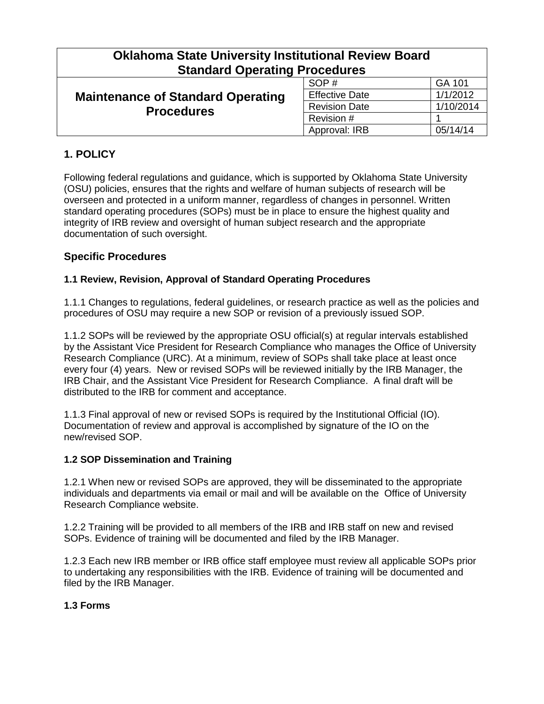| <b>Oklahoma State University Institutional Review Board</b><br><b>Standard Operating Procedures</b> |                       |           |  |
|-----------------------------------------------------------------------------------------------------|-----------------------|-----------|--|
| <b>Maintenance of Standard Operating</b><br><b>Procedures</b>                                       | SOP#                  | GA 101    |  |
|                                                                                                     | <b>Effective Date</b> | 1/1/2012  |  |
|                                                                                                     | <b>Revision Date</b>  | 1/10/2014 |  |
|                                                                                                     | Revision #            |           |  |
|                                                                                                     | Approval: IRB         | 05/14/14  |  |

# **1. POLICY**

Following federal regulations and guidance, which is supported by Oklahoma State University (OSU) policies, ensures that the rights and welfare of human subjects of research will be overseen and protected in a uniform manner, regardless of changes in personnel. Written standard operating procedures (SOPs) must be in place to ensure the highest quality and integrity of IRB review and oversight of human subject research and the appropriate documentation of such oversight.

# **Specific Procedures**

### **1.1 Review, Revision, Approval of Standard Operating Procedures**

1.1.1 Changes to regulations, federal guidelines, or research practice as well as the policies and procedures of OSU may require a new SOP or revision of a previously issued SOP.

1.1.2 SOPs will be reviewed by the appropriate OSU official(s) at regular intervals established by the Assistant Vice President for Research Compliance who manages the Office of University Research Compliance (URC). At a minimum, review of SOPs shall take place at least once every four (4) years. New or revised SOPs will be reviewed initially by the IRB Manager, the IRB Chair, and the Assistant Vice President for Research Compliance. A final draft will be distributed to the IRB for comment and acceptance.

1.1.3 Final approval of new or revised SOPs is required by the Institutional Official (IO). Documentation of review and approval is accomplished by signature of the IO on the new/revised SOP.

#### **1.2 SOP Dissemination and Training**

1.2.1 When new or revised SOPs are approved, they will be disseminated to the appropriate individuals and departments via email or mail and will be available on the Office of University Research Compliance website.

1.2.2 Training will be provided to all members of the IRB and IRB staff on new and revised SOPs. Evidence of training will be documented and filed by the IRB Manager.

1.2.3 Each new IRB member or IRB office staff employee must review all applicable SOPs prior to undertaking any responsibilities with the IRB. Evidence of training will be documented and filed by the IRB Manager.

#### **1.3 Forms**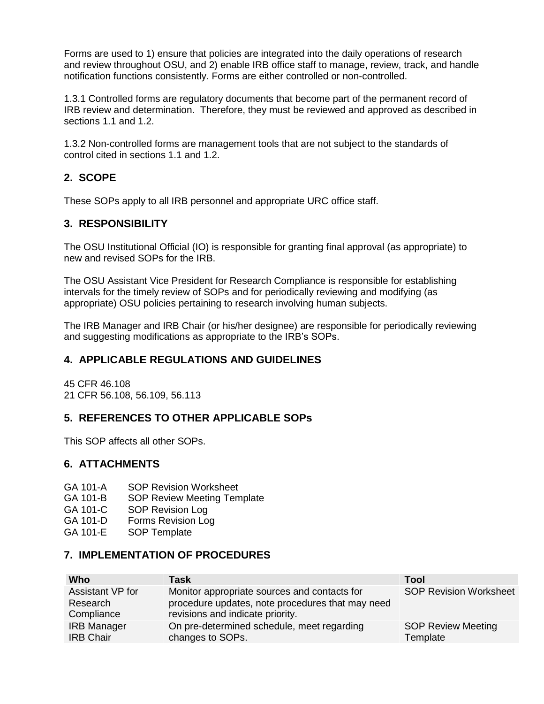Forms are used to 1) ensure that policies are integrated into the daily operations of research and review throughout OSU, and 2) enable IRB office staff to manage, review, track, and handle notification functions consistently. Forms are either controlled or non-controlled.

1.3.1 Controlled forms are regulatory documents that become part of the permanent record of IRB review and determination. Therefore, they must be reviewed and approved as described in sections 1.1 and 1.2.

1.3.2 Non-controlled forms are management tools that are not subject to the standards of control cited in sections 1.1 and 1.2.

# **2. SCOPE**

These SOPs apply to all IRB personnel and appropriate URC office staff.

# **3. RESPONSIBILITY**

The OSU Institutional Official (IO) is responsible for granting final approval (as appropriate) to new and revised SOPs for the IRB.

The OSU Assistant Vice President for Research Compliance is responsible for establishing intervals for the timely review of SOPs and for periodically reviewing and modifying (as appropriate) OSU policies pertaining to research involving human subjects.

The IRB Manager and IRB Chair (or his/her designee) are responsible for periodically reviewing and suggesting modifications as appropriate to the IRB's SOPs.

## **4. APPLICABLE REGULATIONS AND GUIDELINES**

45 CFR 46.108 21 CFR 56.108, 56.109, 56.113

## **5. REFERENCES TO OTHER APPLICABLE SOPs**

This SOP affects all other SOPs.

## **6. ATTACHMENTS**

- GA 101-A SOP Revision Worksheet
- GA 101-B SOP Review Meeting Template
- GA 101-C SOP Revision Log
- GA 101-D Forms Revision Log
- GA 101-E SOP Template

## **7. IMPLEMENTATION OF PROCEDURES**

| Who                | <b>Task</b>                                      | Tool                          |
|--------------------|--------------------------------------------------|-------------------------------|
| Assistant VP for   | Monitor appropriate sources and contacts for     | <b>SOP Revision Worksheet</b> |
| Research           | procedure updates, note procedures that may need |                               |
| Compliance         | revisions and indicate priority.                 |                               |
| <b>IRB Manager</b> | On pre-determined schedule, meet regarding       | <b>SOP Review Meeting</b>     |
| <b>IRB Chair</b>   | changes to SOPs.                                 | Template                      |